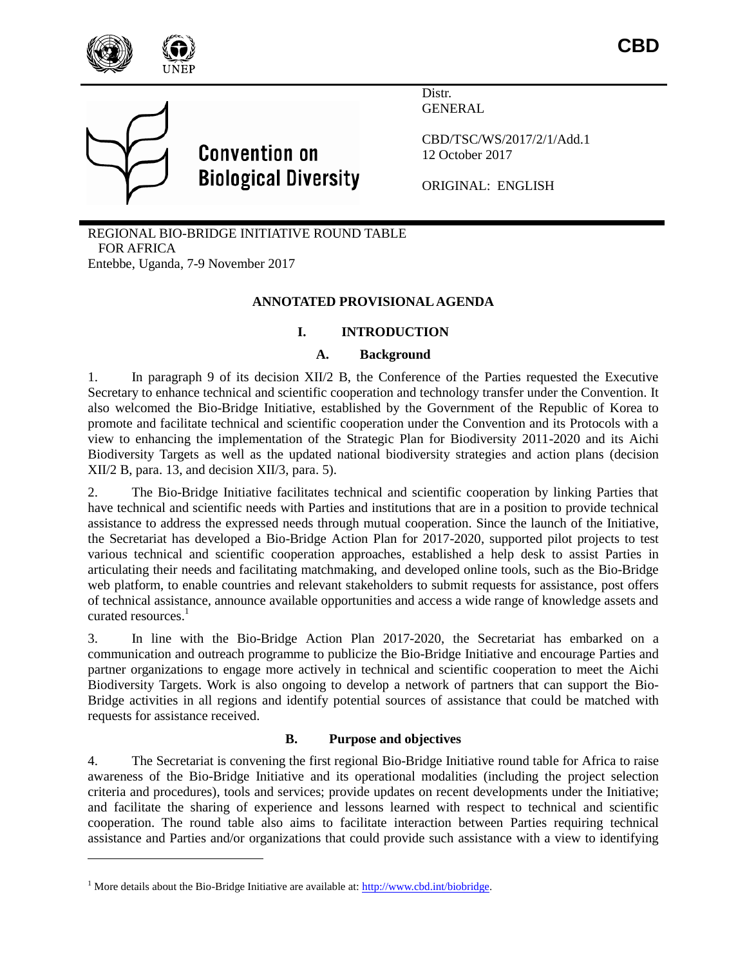

**CBD**



 $\overline{\phantom{a}}$ 

# **Convention on Biological Diversity**

Distr. **GENERAL** 

CBD/TSC/WS/2017/2/1/Add.1 12 October 2017

ORIGINAL: ENGLISH

REGIONAL BIO-BRIDGE INITIATIVE ROUND TABLE FOR AFRICA Entebbe, Uganda, 7-9 November 2017

# **ANNOTATED PROVISIONAL AGENDA**

## **I. INTRODUCTION**

#### **A. Background**

1. In paragraph 9 of its decision XII/2 B, the Conference of the Parties requested the Executive Secretary to enhance technical and scientific cooperation and technology transfer under the Convention. It also welcomed the Bio-Bridge Initiative, established by the Government of the Republic of Korea to promote and facilitate technical and scientific cooperation under the Convention and its Protocols with a view to enhancing the implementation of the Strategic Plan for Biodiversity 2011-2020 and its Aichi Biodiversity Targets as well as the updated national biodiversity strategies and action plans (decision XII/2 B, para. 13, and decision XII/3, para. 5).

2. The Bio-Bridge Initiative facilitates technical and scientific cooperation by linking Parties that have technical and scientific needs with Parties and institutions that are in a position to provide technical assistance to address the expressed needs through mutual cooperation. Since the launch of the Initiative, the Secretariat has developed a Bio-Bridge Action Plan for 2017-2020, supported pilot projects to test various technical and scientific cooperation approaches, established a help desk to assist Parties in articulating their needs and facilitating matchmaking, and developed online tools, such as the Bio-Bridge web platform, to enable countries and relevant stakeholders to submit requests for assistance, post offers of technical assistance, announce available opportunities and access a wide range of knowledge assets and curated resources. 1

3. In line with the Bio-Bridge Action Plan 2017-2020, the Secretariat has embarked on a communication and outreach programme to publicize the Bio-Bridge Initiative and encourage Parties and partner organizations to engage more actively in technical and scientific cooperation to meet the Aichi Biodiversity Targets. Work is also ongoing to develop a network of partners that can support the Bio-Bridge activities in all regions and identify potential sources of assistance that could be matched with requests for assistance received.

#### **B. Purpose and objectives**

4. The Secretariat is convening the first regional Bio-Bridge Initiative round table for Africa to raise awareness of the Bio-Bridge Initiative and its operational modalities (including the project selection criteria and procedures), tools and services; provide updates on recent developments under the Initiative; and facilitate the sharing of experience and lessons learned with respect to technical and scientific cooperation. The round table also aims to facilitate interaction between Parties requiring technical assistance and Parties and/or organizations that could provide such assistance with a view to identifying

<sup>&</sup>lt;sup>1</sup> More details about the Bio-Bridge Initiative are available at:  $\frac{http://www.cbd.int/biobridge.}$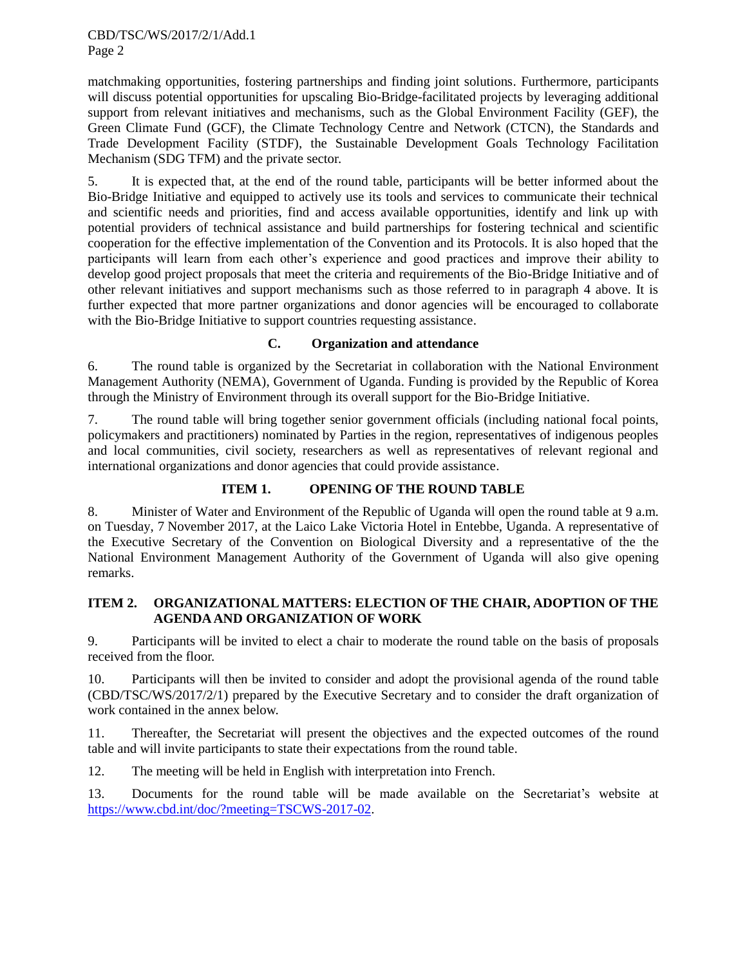#### CBD/TSC/WS/2017/2/1/Add.1 Page 2

matchmaking opportunities, fostering partnerships and finding joint solutions. Furthermore, participants will discuss potential opportunities for upscaling Bio-Bridge-facilitated projects by leveraging additional support from relevant initiatives and mechanisms, such as the Global Environment Facility (GEF), the Green Climate Fund (GCF), the Climate Technology Centre and Network (CTCN), the Standards and Trade Development Facility (STDF), the Sustainable Development Goals Technology Facilitation Mechanism (SDG TFM) and the private sector.

5. It is expected that, at the end of the round table, participants will be better informed about the Bio-Bridge Initiative and equipped to actively use its tools and services to communicate their technical and scientific needs and priorities, find and access available opportunities, identify and link up with potential providers of technical assistance and build partnerships for fostering technical and scientific cooperation for the effective implementation of the Convention and its Protocols. It is also hoped that the participants will learn from each other's experience and good practices and improve their ability to develop good project proposals that meet the criteria and requirements of the Bio-Bridge Initiative and of other relevant initiatives and support mechanisms such as those referred to in paragraph 4 above. It is further expected that more partner organizations and donor agencies will be encouraged to collaborate with the Bio-Bridge Initiative to support countries requesting assistance.

# **C. Organization and attendance**

6. The round table is organized by the Secretariat in collaboration with the National Environment Management Authority (NEMA), Government of Uganda. Funding is provided by the Republic of Korea through the Ministry of Environment through its overall support for the Bio-Bridge Initiative.

7. The round table will bring together senior government officials (including national focal points, policymakers and practitioners) nominated by Parties in the region, representatives of indigenous peoples and local communities, civil society, researchers as well as representatives of relevant regional and international organizations and donor agencies that could provide assistance.

# **ITEM 1. OPENING OF THE ROUND TABLE**

8. Minister of Water and Environment of the Republic of Uganda will open the round table at 9 a.m. on Tuesday, 7 November 2017, at the Laico Lake Victoria Hotel in Entebbe, Uganda. A representative of the Executive Secretary of the Convention on Biological Diversity and a representative of the the National Environment Management Authority of the Government of Uganda will also give opening remarks.

## **ITEM 2. ORGANIZATIONAL MATTERS: ELECTION OF THE CHAIR, ADOPTION OF THE AGENDA AND ORGANIZATION OF WORK**

9. Participants will be invited to elect a chair to moderate the round table on the basis of proposals received from the floor.

10. Participants will then be invited to consider and adopt the provisional agenda of the round table (CBD/TSC/WS/2017/2/1) prepared by the Executive Secretary and to consider the draft organization of work contained in the annex below.

11. Thereafter, the Secretariat will present the objectives and the expected outcomes of the round table and will invite participants to state their expectations from the round table.

12. The meeting will be held in English with interpretation into French.

13. Documents for the round table will be made available on the Secretariat's website at [https://www.cbd.int/doc/?meeting=TSCWS-2017-02.](https://www.cbd.int/doc/?meeting=TSCWS-2017-02)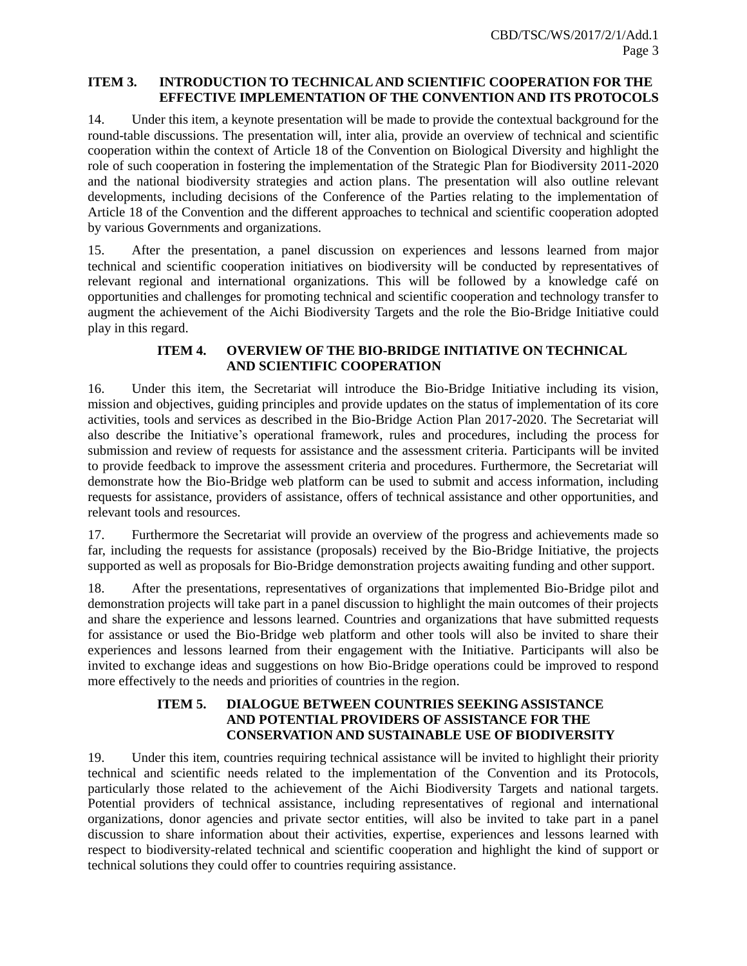#### **ITEM 3. INTRODUCTION TO TECHNICAL AND SCIENTIFIC COOPERATION FOR THE EFFECTIVE IMPLEMENTATION OF THE CONVENTION AND ITS PROTOCOLS**

14. Under this item, a keynote presentation will be made to provide the contextual background for the round-table discussions. The presentation will, inter alia, provide an overview of technical and scientific cooperation within the context of Article 18 of the Convention on Biological Diversity and highlight the role of such cooperation in fostering the implementation of the Strategic Plan for Biodiversity 2011-2020 and the national biodiversity strategies and action plans. The presentation will also outline relevant developments, including decisions of the Conference of the Parties relating to the implementation of Article 18 of the Convention and the different approaches to technical and scientific cooperation adopted by various Governments and organizations.

15. After the presentation, a panel discussion on experiences and lessons learned from major technical and scientific cooperation initiatives on biodiversity will be conducted by representatives of relevant regional and international organizations. This will be followed by a knowledge café on opportunities and challenges for promoting technical and scientific cooperation and technology transfer to augment the achievement of the Aichi Biodiversity Targets and the role the Bio-Bridge Initiative could play in this regard.

## **ITEM 4. OVERVIEW OF THE BIO-BRIDGE INITIATIVE ON TECHNICAL AND SCIENTIFIC COOPERATION**

16. Under this item, the Secretariat will introduce the Bio-Bridge Initiative including its vision, mission and objectives, guiding principles and provide updates on the status of implementation of its core activities, tools and services as described in the Bio-Bridge Action Plan 2017-2020. The Secretariat will also describe the Initiative's operational framework, rules and procedures, including the process for submission and review of requests for assistance and the assessment criteria. Participants will be invited to provide feedback to improve the assessment criteria and procedures. Furthermore, the Secretariat will demonstrate how the Bio-Bridge web platform can be used to submit and access information, including requests for assistance, providers of assistance, offers of technical assistance and other opportunities, and relevant tools and resources.

17. Furthermore the Secretariat will provide an overview of the progress and achievements made so far, including the requests for assistance (proposals) received by the Bio-Bridge Initiative, the projects supported as well as proposals for Bio-Bridge demonstration projects awaiting funding and other support.

18. After the presentations, representatives of organizations that implemented Bio-Bridge pilot and demonstration projects will take part in a panel discussion to highlight the main outcomes of their projects and share the experience and lessons learned. Countries and organizations that have submitted requests for assistance or used the Bio-Bridge web platform and other tools will also be invited to share their experiences and lessons learned from their engagement with the Initiative. Participants will also be invited to exchange ideas and suggestions on how Bio-Bridge operations could be improved to respond more effectively to the needs and priorities of countries in the region.

## **ITEM 5. DIALOGUE BETWEEN COUNTRIES SEEKING ASSISTANCE AND POTENTIAL PROVIDERS OF ASSISTANCE FOR THE CONSERVATION AND SUSTAINABLE USE OF BIODIVERSITY**

19. Under this item, countries requiring technical assistance will be invited to highlight their priority technical and scientific needs related to the implementation of the Convention and its Protocols, particularly those related to the achievement of the Aichi Biodiversity Targets and national targets. Potential providers of technical assistance, including representatives of regional and international organizations, donor agencies and private sector entities, will also be invited to take part in a panel discussion to share information about their activities, expertise, experiences and lessons learned with respect to biodiversity-related technical and scientific cooperation and highlight the kind of support or technical solutions they could offer to countries requiring assistance.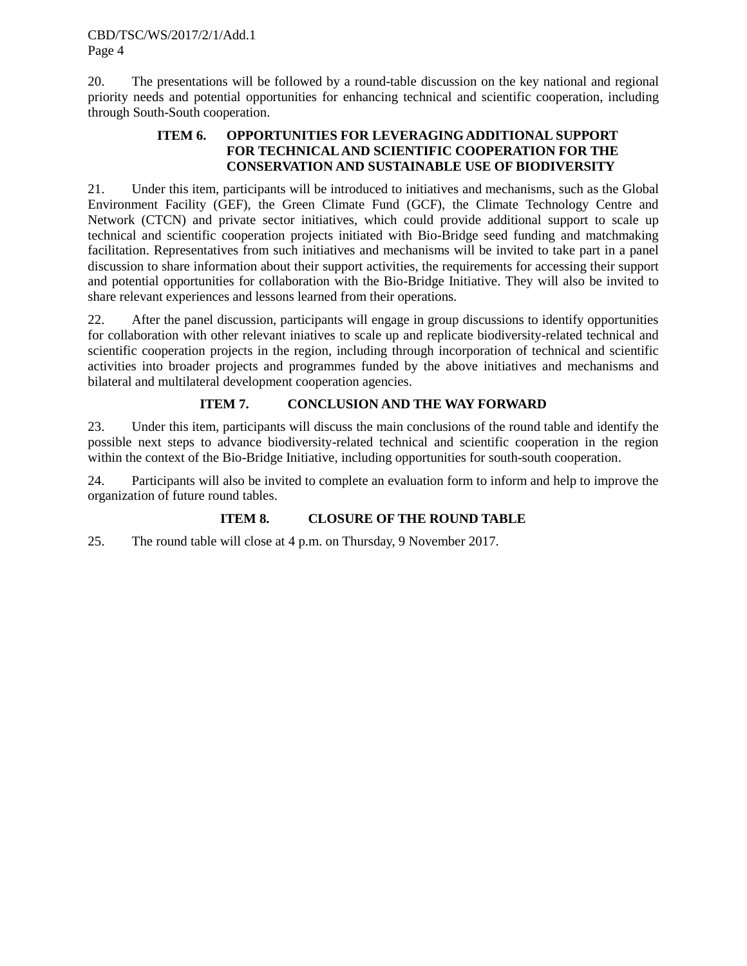20. The presentations will be followed by a round-table discussion on the key national and regional priority needs and potential opportunities for enhancing technical and scientific cooperation, including through South-South cooperation.

## **ITEM 6. OPPORTUNITIES FOR LEVERAGING ADDITIONAL SUPPORT FOR TECHNICAL AND SCIENTIFIC COOPERATION FOR THE CONSERVATION AND SUSTAINABLE USE OF BIODIVERSITY**

21. Under this item, participants will be introduced to initiatives and mechanisms, such as the Global Environment Facility (GEF), the Green Climate Fund (GCF), the Climate Technology Centre and Network (CTCN) and private sector initiatives, which could provide additional support to scale up technical and scientific cooperation projects initiated with Bio-Bridge seed funding and matchmaking facilitation. Representatives from such initiatives and mechanisms will be invited to take part in a panel discussion to share information about their support activities, the requirements for accessing their support and potential opportunities for collaboration with the Bio-Bridge Initiative. They will also be invited to share relevant experiences and lessons learned from their operations.

22. After the panel discussion, participants will engage in group discussions to identify opportunities for collaboration with other relevant iniatives to scale up and replicate biodiversity-related technical and scientific cooperation projects in the region, including through incorporation of technical and scientific activities into broader projects and programmes funded by the above initiatives and mechanisms and bilateral and multilateral development cooperation agencies.

# **ITEM 7. CONCLUSION AND THE WAY FORWARD**

23. Under this item, participants will discuss the main conclusions of the round table and identify the possible next steps to advance biodiversity-related technical and scientific cooperation in the region within the context of the Bio-Bridge Initiative, including opportunities for south-south cooperation.

24. Participants will also be invited to complete an evaluation form to inform and help to improve the organization of future round tables.

# **ITEM 8. CLOSURE OF THE ROUND TABLE**

25. The round table will close at 4 p.m. on Thursday, 9 November 2017.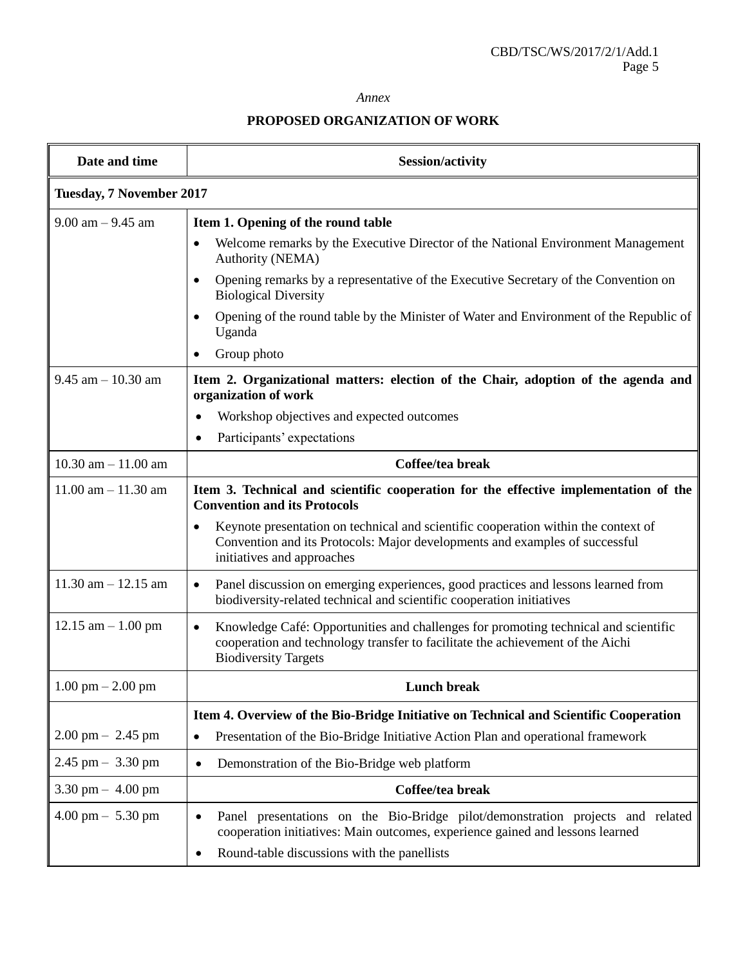#### *Annex*

# **PROPOSED ORGANIZATION OF WORK**

| Date and time                       | <b>Session/activity</b>                                                                                                                                                                                           |
|-------------------------------------|-------------------------------------------------------------------------------------------------------------------------------------------------------------------------------------------------------------------|
| Tuesday, 7 November 2017            |                                                                                                                                                                                                                   |
| $9.00$ am $-9.45$ am                | Item 1. Opening of the round table                                                                                                                                                                                |
|                                     | Welcome remarks by the Executive Director of the National Environment Management<br>Authority (NEMA)                                                                                                              |
|                                     | Opening remarks by a representative of the Executive Secretary of the Convention on<br><b>Biological Diversity</b>                                                                                                |
|                                     | Opening of the round table by the Minister of Water and Environment of the Republic of<br>Uganda                                                                                                                  |
|                                     | Group photo                                                                                                                                                                                                       |
| $9.45$ am $-10.30$ am               | Item 2. Organizational matters: election of the Chair, adoption of the agenda and<br>organization of work                                                                                                         |
|                                     | Workshop objectives and expected outcomes<br>$\bullet$                                                                                                                                                            |
|                                     | Participants' expectations<br>$\bullet$                                                                                                                                                                           |
| $10.30$ am $- 11.00$ am             | Coffee/tea break                                                                                                                                                                                                  |
| $11.00$ am $- 11.30$ am             | Item 3. Technical and scientific cooperation for the effective implementation of the<br><b>Convention and its Protocols</b>                                                                                       |
|                                     | Keynote presentation on technical and scientific cooperation within the context of<br>Convention and its Protocols: Major developments and examples of successful<br>initiatives and approaches                   |
| $11.30$ am $- 12.15$ am             | Panel discussion on emerging experiences, good practices and lessons learned from<br>$\bullet$<br>biodiversity-related technical and scientific cooperation initiatives                                           |
| $12.15$ am $-1.00$ pm               | Knowledge Café: Opportunities and challenges for promoting technical and scientific<br>$\bullet$<br>cooperation and technology transfer to facilitate the achievement of the Aichi<br><b>Biodiversity Targets</b> |
| $1.00 \text{ pm} - 2.00 \text{ pm}$ | <b>Lunch break</b>                                                                                                                                                                                                |
|                                     | Item 4. Overview of the Bio-Bridge Initiative on Technical and Scientific Cooperation                                                                                                                             |
| $2.00 \text{ pm} - 2.45 \text{ pm}$ | Presentation of the Bio-Bridge Initiative Action Plan and operational framework<br>$\bullet$                                                                                                                      |
| $2.45$ pm $-3.30$ pm                | Demonstration of the Bio-Bridge web platform<br>$\bullet$                                                                                                                                                         |
| $3.30 \text{ pm} - 4.00 \text{ pm}$ | Coffee/tea break                                                                                                                                                                                                  |
| $4.00 \text{ pm} - 5.30 \text{ pm}$ | Panel presentations on the Bio-Bridge pilot/demonstration projects and related<br>$\bullet$<br>cooperation initiatives: Main outcomes, experience gained and lessons learned                                      |
|                                     | Round-table discussions with the panellists<br>٠                                                                                                                                                                  |